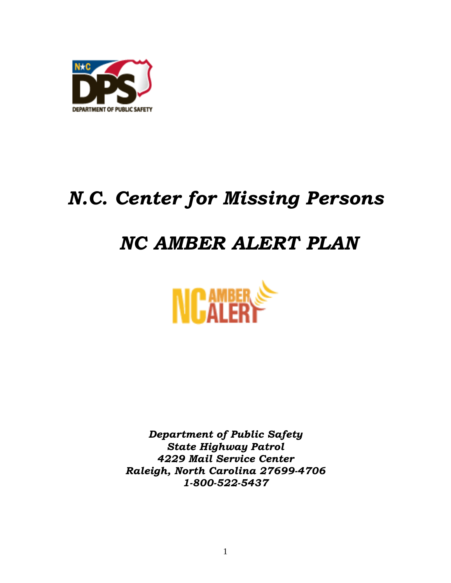

# *N.C. Center for Missing Persons*

# *NC AMBER ALERT PLAN*



*Department of Public Safety State Highway Patrol 4229 Mail Service Center Raleigh, North Carolina 27699-4706 1-800-522-5437*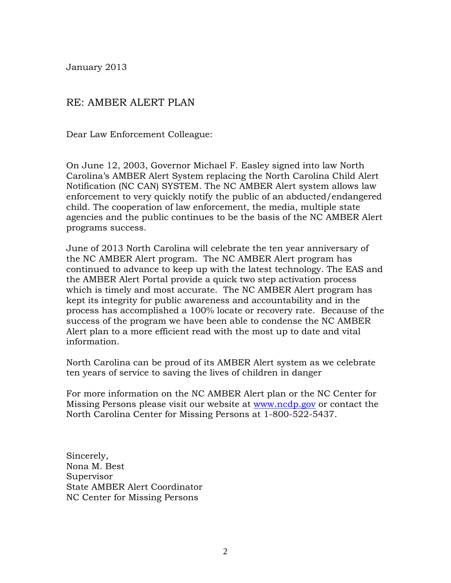January 2013

#### RE: AMBER ALERT PLAN

Dear Law Enforcement Colleague:

On June 12, 2003, Governor Michael F. Easley signed into law North Carolina's AMBER Alert System replacing the North Carolina Child Alert Notification (NC CAN) SYSTEM. The NC AMBER Alert system allows law enforcement to very quickly notify the public of an abducted/endangered child. The cooperation of law enforcement, the media, multiple state agencies and the public continues to be the basis of the NC AMBER Alert programs success.

June of 2013 North Carolina will celebrate the ten year anniversary of the NC AMBER Alert program. The NC AMBER Alert program has continued to advance to keep up with the latest technology. The EAS and the AMBER Alert Portal provide a quick two step activation process which is timely and most accurate. The NC AMBER Alert program has kept its integrity for public awareness and accountability and in the process has accomplished a 100% locate or recovery rate. Because of the success of the program we have been able to condense the NC AMBER Alert plan to a more efficient read with the most up to date and vital information.

North Carolina can be proud of its AMBER Alert system as we celebrate ten years of service to saving the lives of children in danger

For more information on the NC AMBER Alert plan or the NC Center for Missing Persons please visit our website at [www.ncdp.gov](http://www.ncdp.gov/) or contact the North Carolina Center for Missing Persons at 1-800-522-5437.

Sincerely, Nona M. Best Supervisor State AMBER Alert Coordinator NC Center for Missing Persons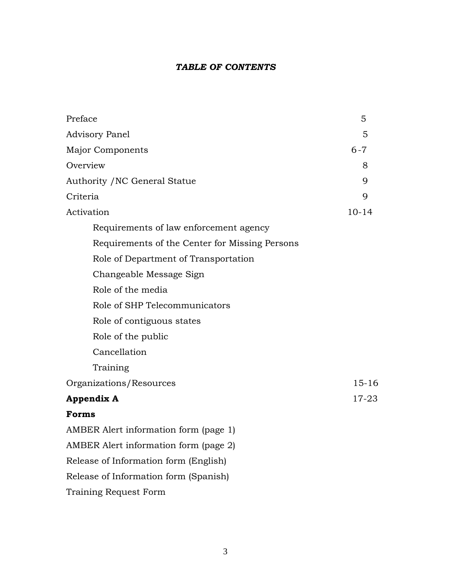#### *TABLE OF CONTENTS*

| Preface                                        | 5         |
|------------------------------------------------|-----------|
| <b>Advisory Panel</b>                          | 5         |
| <b>Major Components</b>                        | $6 - 7$   |
| Overview                                       | 8         |
| Authority / NC General Statue                  | 9         |
| Criteria                                       | 9         |
| Activation                                     | $10 - 14$ |
| Requirements of law enforcement agency         |           |
| Requirements of the Center for Missing Persons |           |
| Role of Department of Transportation           |           |
| Changeable Message Sign                        |           |
| Role of the media                              |           |
| Role of SHP Telecommunicators                  |           |
| Role of contiguous states                      |           |
| Role of the public                             |           |
| Cancellation                                   |           |
| Training                                       |           |
| Organizations/Resources                        | $15 - 16$ |
| <b>Appendix A</b>                              | $17 - 23$ |
| Forms                                          |           |
| AMBER Alert information form (page 1)          |           |
| AMBER Alert information form (page 2)          |           |
| Release of Information form (English)          |           |
| Release of Information form (Spanish)          |           |
| Training Request Form                          |           |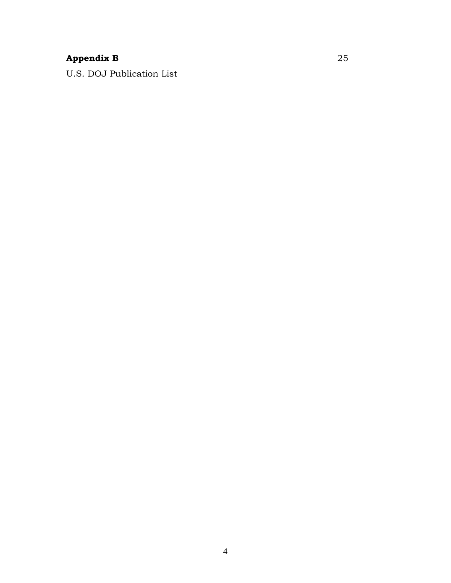# **Appendix B** 25

U.S. DOJ Publication List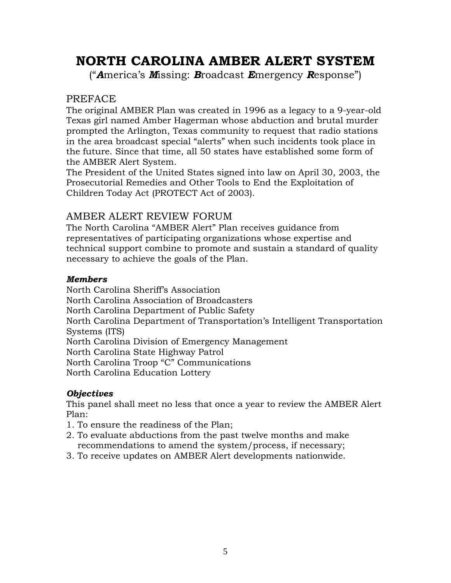# **NORTH CAROLINA AMBER ALERT SYSTEM**

("*A*merica's *M*issing: *B*roadcast *E*mergency *R*esponse")

#### PREFACE

The original AMBER Plan was created in 1996 as a legacy to a 9-year-old Texas girl named Amber Hagerman whose abduction and brutal murder prompted the Arlington, Texas community to request that radio stations in the area broadcast special "alerts" when such incidents took place in the future. Since that time, all 50 states have established some form of the AMBER Alert System.

The President of the United States signed into law on April 30, 2003, the Prosecutorial Remedies and Other Tools to End the Exploitation of Children Today Act (PROTECT Act of 2003).

### AMBER ALERT REVIEW FORUM

The North Carolina "AMBER Alert" Plan receives guidance from representatives of participating organizations whose expertise and technical support combine to promote and sustain a standard of quality necessary to achieve the goals of the Plan.

#### *Members*

North Carolina Sheriff's Association North Carolina Association of Broadcasters North Carolina Department of Public Safety North Carolina Department of Transportation's Intelligent Transportation Systems (ITS) North Carolina Division of Emergency Management North Carolina State Highway Patrol North Carolina Troop "C" Communications North Carolina Education Lottery

#### *Objectives*

This panel shall meet no less that once a year to review the AMBER Alert Plan:

- 1. To ensure the readiness of the Plan;
- 2. To evaluate abductions from the past twelve months and make recommendations to amend the system/process, if necessary;
- 3. To receive updates on AMBER Alert developments nationwide.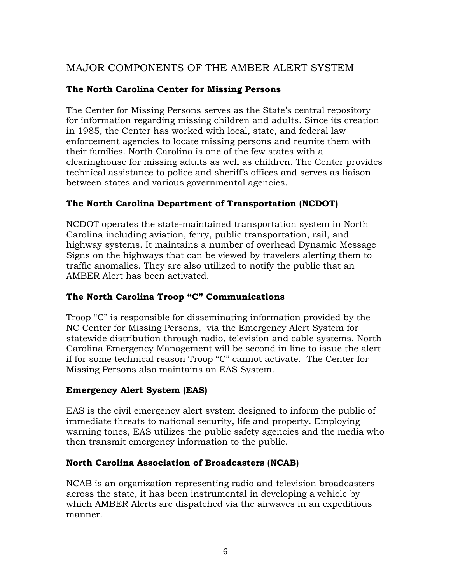# MAJOR COMPONENTS OF THE AMBER ALERT SYSTEM

#### **The North Carolina Center for Missing Persons**

The Center for Missing Persons serves as the State's central repository for information regarding missing children and adults. Since its creation in 1985, the Center has worked with local, state, and federal law enforcement agencies to locate missing persons and reunite them with their families. North Carolina is one of the few states with a clearinghouse for missing adults as well as children. The Center provides technical assistance to police and sheriff's offices and serves as liaison between states and various governmental agencies.

#### **The North Carolina Department of Transportation (NCDOT)**

NCDOT operates the state-maintained transportation system in North Carolina including aviation, ferry, public transportation, rail, and highway systems. It maintains a number of overhead Dynamic Message Signs on the highways that can be viewed by travelers alerting them to traffic anomalies. They are also utilized to notify the public that an AMBER Alert has been activated.

#### **The North Carolina Troop "C" Communications**

Troop "C" is responsible for disseminating information provided by the NC Center for Missing Persons, via the Emergency Alert System for statewide distribution through radio, television and cable systems. North Carolina Emergency Management will be second in line to issue the alert if for some technical reason Troop "C" cannot activate. The Center for Missing Persons also maintains an EAS System.

#### **Emergency Alert System (EAS)**

EAS is the civil emergency alert system designed to inform the public of immediate threats to national security, life and property. Employing warning tones, EAS utilizes the public safety agencies and the media who then transmit emergency information to the public.

#### **North Carolina Association of Broadcasters (NCAB)**

NCAB is an organization representing radio and television broadcasters across the state, it has been instrumental in developing a vehicle by which AMBER Alerts are dispatched via the airwaves in an expeditious manner.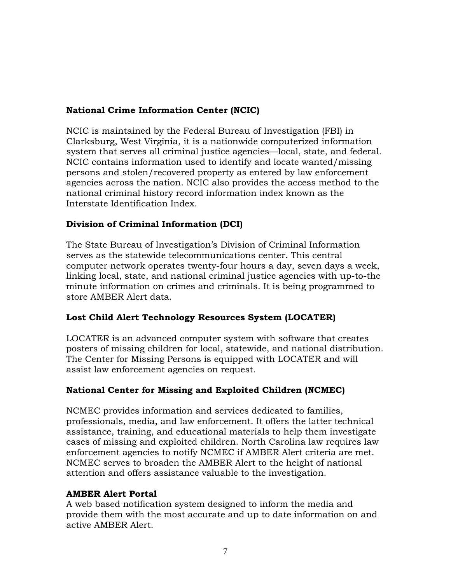#### **National Crime Information Center (NCIC)**

NCIC is maintained by the Federal Bureau of Investigation (FBI) in Clarksburg, West Virginia, it is a nationwide computerized information system that serves all criminal justice agencies—local, state, and federal. NCIC contains information used to identify and locate wanted/missing persons and stolen/recovered property as entered by law enforcement agencies across the nation. NCIC also provides the access method to the national criminal history record information index known as the Interstate Identification Index.

#### **Division of Criminal Information (DCI)**

The State Bureau of Investigation's Division of Criminal Information serves as the statewide telecommunications center. This central computer network operates twenty-four hours a day, seven days a week, linking local, state, and national criminal justice agencies with up-to-the minute information on crimes and criminals. It is being programmed to store AMBER Alert data.

#### **Lost Child Alert Technology Resources System (LOCATER)**

LOCATER is an advanced computer system with software that creates posters of missing children for local, statewide, and national distribution. The Center for Missing Persons is equipped with LOCATER and will assist law enforcement agencies on request.

#### **National Center for Missing and Exploited Children (NCMEC)**

NCMEC provides information and services dedicated to families, professionals, media, and law enforcement. It offers the latter technical assistance, training, and educational materials to help them investigate cases of missing and exploited children. North Carolina law requires law enforcement agencies to notify NCMEC if AMBER Alert criteria are met. NCMEC serves to broaden the AMBER Alert to the height of national attention and offers assistance valuable to the investigation.

#### **AMBER Alert Portal**

A web based notification system designed to inform the media and provide them with the most accurate and up to date information on and active AMBER Alert.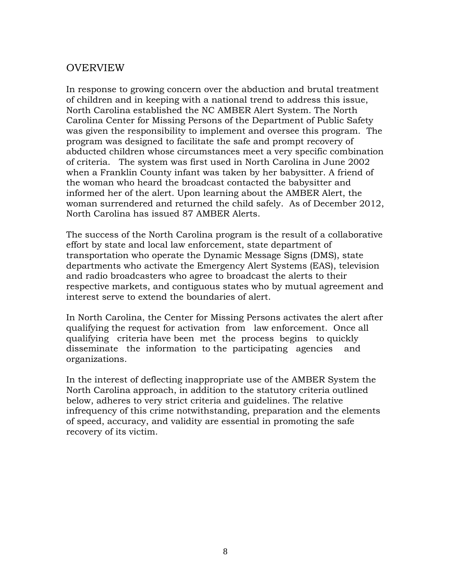#### OVERVIEW

In response to growing concern over the abduction and brutal treatment of children and in keeping with a national trend to address this issue, North Carolina established the NC AMBER Alert System. The North Carolina Center for Missing Persons of the Department of Public Safety was given the responsibility to implement and oversee this program. The program was designed to facilitate the safe and prompt recovery of abducted children whose circumstances meet a very specific combination of criteria. The system was first used in North Carolina in June 2002 when a Franklin County infant was taken by her babysitter. A friend of the woman who heard the broadcast contacted the babysitter and informed her of the alert. Upon learning about the AMBER Alert, the woman surrendered and returned the child safely. As of December 2012, North Carolina has issued 87 AMBER Alerts.

The success of the North Carolina program is the result of a collaborative effort by state and local law enforcement, state department of transportation who operate the Dynamic Message Signs (DMS), state departments who activate the Emergency Alert Systems (EAS), television and radio broadcasters who agree to broadcast the alerts to their respective markets, and contiguous states who by mutual agreement and interest serve to extend the boundaries of alert.

In North Carolina, the Center for Missing Persons activates the alert after qualifying the request for activation from law enforcement. Once all qualifying criteria have been met the process begins to quickly disseminate the information to the participating agencies and organizations.

In the interest of deflecting inappropriate use of the AMBER System the North Carolina approach, in addition to the statutory criteria outlined below, adheres to very strict criteria and guidelines. The relative infrequency of this crime notwithstanding, preparation and the elements of speed, accuracy, and validity are essential in promoting the safe recovery of its victim.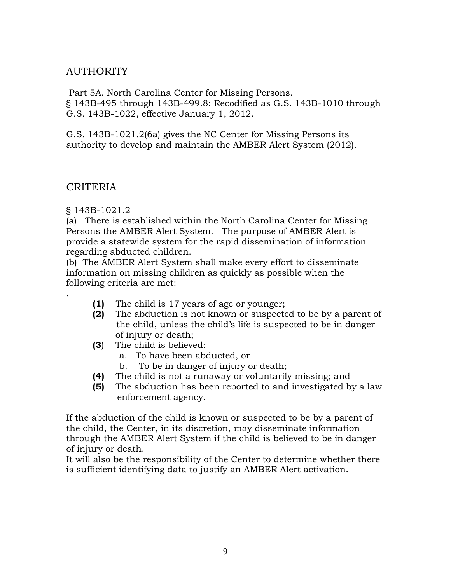### AUTHORITY

 Part 5A. North Carolina Center for Missing Persons. § 143B-495 through 143B-499.8: Recodified as G.S. 143B-1010 through G.S. 143B-1022, effective January 1, 2012.

G.S. 143B-1021.2(6a) gives the NC Center for Missing Persons its authority to develop and maintain the AMBER Alert System (2012).

#### CRITERIA

.

§ 143B-1021.2

(a) There is established within the North Carolina Center for Missing Persons the AMBER Alert System. The purpose of AMBER Alert is provide a statewide system for the rapid dissemination of information regarding abducted children.

(b) The AMBER Alert System shall make every effort to disseminate information on missing children as quickly as possible when the following criteria are met:

- **(1)** The child is 17 years of age or younger;
- **(2)** The abduction is not known or suspected to be by a parent of the child, unless the child's life is suspected to be in danger of injury or death;
- **(3**) The child is believed:
	- a. To have been abducted, or
	- b. To be in danger of injury or death;
- **(4)** The child is not a runaway or voluntarily missing; and
- **(5)** The abduction has been reported to and investigated by a law enforcement agency.

If the abduction of the child is known or suspected to be by a parent of the child, the Center, in its discretion, may disseminate information through the AMBER Alert System if the child is believed to be in danger of injury or death.

It will also be the responsibility of the Center to determine whether there is sufficient identifying data to justify an AMBER Alert activation.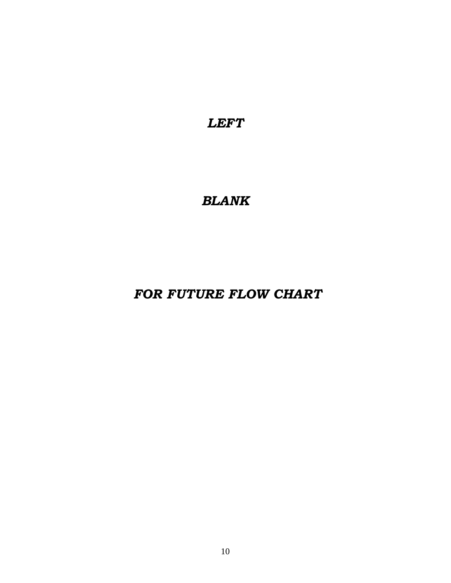*LEFT* 

# *BLANK*

 *FOR FUTURE FLOW CHART*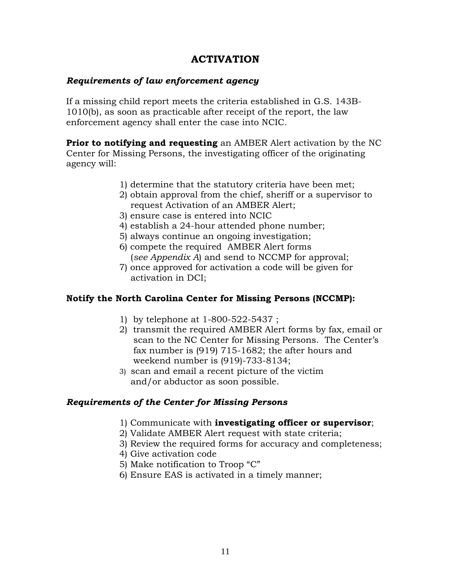### **ACTIVATION**

#### *Requirements of law enforcement agency*

If a missing child report meets the criteria established in G.S. 143B-1010(b), as soon as practicable after receipt of the report, the law enforcement agency shall enter the case into NCIC.

**Prior to notifying and requesting** an AMBER Alert activation by the NC Center for Missing Persons, the investigating officer of the originating agency will:

- 1) determine that the statutory criteria have been met;
- 2) obtain approval from the chief, sheriff or a supervisor to request Activation of an AMBER Alert;
- 3) ensure case is entered into NCIC
- 4) establish a 24-hour attended phone number;
- 5) always continue an ongoing investigation;
- 6) compete the required AMBER Alert forms (*see Appendix A*) and send to NCCMP for approval;
- 7) once approved for activation a code will be given for activation in DCI;

#### **Notify the North Carolina Center for Missing Persons (NCCMP):**

- 1) by telephone at 1-800-522-5437 ;
- 2) transmit the required AMBER Alert forms by fax, email or scan to the NC Center for Missing Persons. The Center's fax number is (919) 715-1682; the after hours and weekend number is (919)-733-8134;
- 3) scan and email a recent picture of the victim and/or abductor as soon possible.

#### *Requirements of the Center for Missing Persons*

- 1) Communicate with **investigating officer or supervisor**;
- 2) Validate AMBER Alert request with state criteria;
- 3) Review the required forms for accuracy and completeness;
- 4) Give activation code
- 5) Make notification to Troop "C"
- 6) Ensure EAS is activated in a timely manner;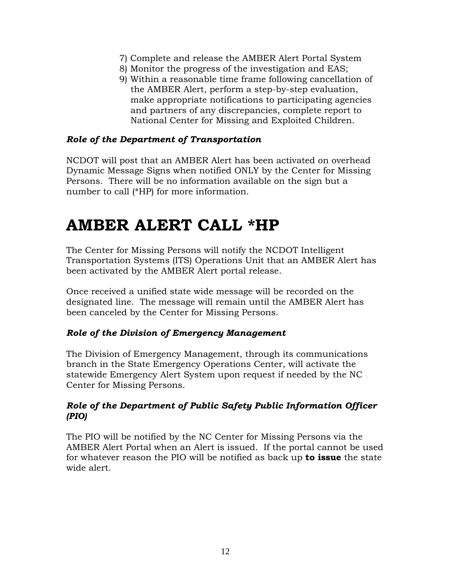- 7) Complete and release the AMBER Alert Portal System
- 8) Monitor the progress of the investigation and EAS;
- 9) Within a reasonable time frame following cancellation of the AMBER Alert, perform a step-by-step evaluation, make appropriate notifications to participating agencies and partners of any discrepancies, complete report to National Center for Missing and Exploited Children.

#### *Role of the Department of Transportation*

NCDOT will post that an AMBER Alert has been activated on overhead Dynamic Message Signs when notified ONLY by the Center for Missing Persons. There will be no information available on the sign but a number to call (\*HP) for more information.

# **AMBER ALERT CALL \*HP**

The Center for Missing Persons will notify the NCDOT Intelligent Transportation Systems (ITS) Operations Unit that an AMBER Alert has been activated by the AMBER Alert portal release.

Once received a unified state wide message will be recorded on the designated line. The message will remain until the AMBER Alert has been canceled by the Center for Missing Persons.

#### *Role of the Division of Emergency Management*

The Division of Emergency Management, through its communications branch in the State Emergency Operations Center, will activate the statewide Emergency Alert System upon request if needed by the NC Center for Missing Persons.

#### *Role of the Department of Public Safety Public Information Officer (PIO)*

The PIO will be notified by the NC Center for Missing Persons via the AMBER Alert Portal when an Alert is issued. If the portal cannot be used for whatever reason the PIO will be notified as back up **to issue** the state wide alert.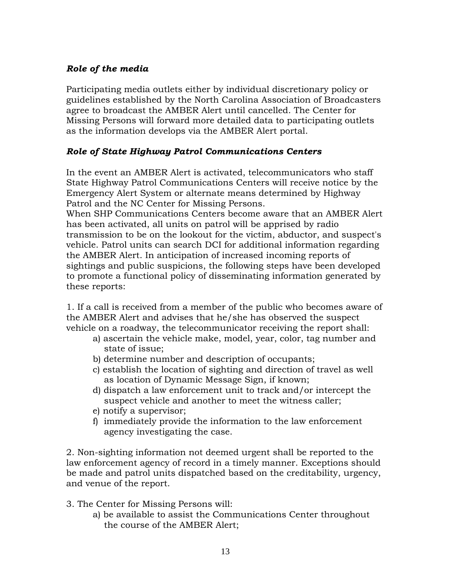#### *Role of the media*

Participating media outlets either by individual discretionary policy or guidelines established by the North Carolina Association of Broadcasters agree to broadcast the AMBER Alert until cancelled. The Center for Missing Persons will forward more detailed data to participating outlets as the information develops via the AMBER Alert portal.

#### *Role of State Highway Patrol Communications Centers*

In the event an AMBER Alert is activated, telecommunicators who staff State Highway Patrol Communications Centers will receive notice by the Emergency Alert System or alternate means determined by Highway Patrol and the NC Center for Missing Persons.

When SHP Communications Centers become aware that an AMBER Alert has been activated, all units on patrol will be apprised by radio transmission to be on the lookout for the victim, abductor, and suspect's vehicle. Patrol units can search DCI for additional information regarding the AMBER Alert. In anticipation of increased incoming reports of sightings and public suspicions, the following steps have been developed to promote a functional policy of disseminating information generated by these reports:

1. If a call is received from a member of the public who becomes aware of the AMBER Alert and advises that he/she has observed the suspect vehicle on a roadway, the telecommunicator receiving the report shall:

- a) ascertain the vehicle make, model, year, color, tag number and state of issue;
- b) determine number and description of occupants;
- c) establish the location of sighting and direction of travel as well as location of Dynamic Message Sign, if known;
- d) dispatch a law enforcement unit to track and/or intercept the suspect vehicle and another to meet the witness caller;
- e) notify a supervisor;
- f) immediately provide the information to the law enforcement agency investigating the case.

2. Non-sighting information not deemed urgent shall be reported to the law enforcement agency of record in a timely manner. Exceptions should be made and patrol units dispatched based on the creditability, urgency, and venue of the report.

- 3. The Center for Missing Persons will:
	- a) be available to assist the Communications Center throughout the course of the AMBER Alert;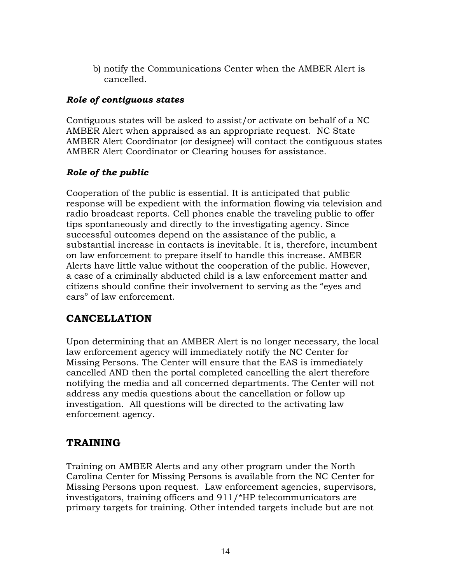b) notify the Communications Center when the AMBER Alert is cancelled.

#### *Role of contiguous states*

Contiguous states will be asked to assist/or activate on behalf of a NC AMBER Alert when appraised as an appropriate request. NC State AMBER Alert Coordinator (or designee) will contact the contiguous states AMBER Alert Coordinator or Clearing houses for assistance.

#### *Role of the public*

Cooperation of the public is essential. It is anticipated that public response will be expedient with the information flowing via television and radio broadcast reports. Cell phones enable the traveling public to offer tips spontaneously and directly to the investigating agency. Since successful outcomes depend on the assistance of the public, a substantial increase in contacts is inevitable. It is, therefore, incumbent on law enforcement to prepare itself to handle this increase. AMBER Alerts have little value without the cooperation of the public. However, a case of a criminally abducted child is a law enforcement matter and citizens should confine their involvement to serving as the "eyes and ears" of law enforcement.

### **CANCELLATION**

Upon determining that an AMBER Alert is no longer necessary, the local law enforcement agency will immediately notify the NC Center for Missing Persons. The Center will ensure that the EAS is immediately cancelled AND then the portal completed cancelling the alert therefore notifying the media and all concerned departments. The Center will not address any media questions about the cancellation or follow up investigation. All questions will be directed to the activating law enforcement agency.

### **TRAINING**

Training on AMBER Alerts and any other program under the North Carolina Center for Missing Persons is available from the NC Center for Missing Persons upon request. Law enforcement agencies, supervisors, investigators, training officers and 911/\*HP telecommunicators are primary targets for training. Other intended targets include but are not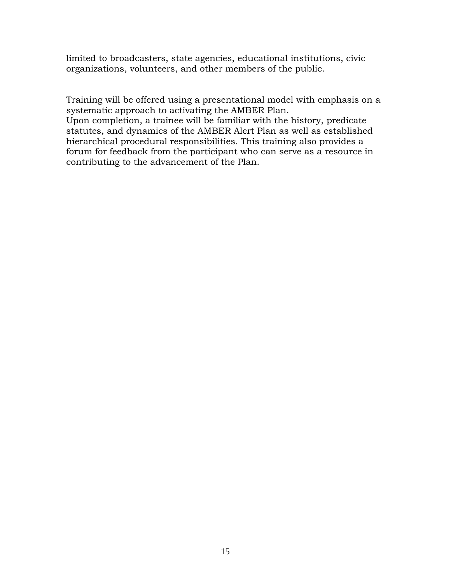limited to broadcasters, state agencies, educational institutions, civic organizations, volunteers, and other members of the public.

Training will be offered using a presentational model with emphasis on a systematic approach to activating the AMBER Plan. Upon completion, a trainee will be familiar with the history, predicate statutes, and dynamics of the AMBER Alert Plan as well as established hierarchical procedural responsibilities. This training also provides a forum for feedback from the participant who can serve as a resource in contributing to the advancement of the Plan.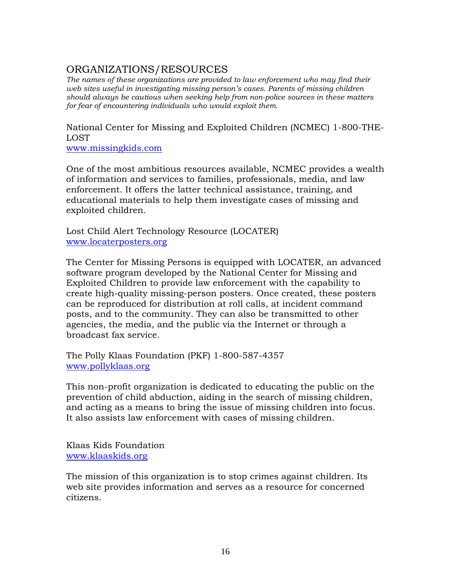# ORGANIZATIONS/RESOURCES

*The names of these organizations are provided to law enforcement who may find their web sites useful in investigating missing person's cases. Parents of missing children should always be cautious when seeking help from non-police sources in these matters for fear of encountering individuals who would exploit them.* 

National Center for Missing and Exploited Children (NCMEC) 1-800-THE-LOST

[www.missingkids.com](http://www.missingkids.com/)

One of the most ambitious resources available, NCMEC provides a wealth of information and services to families, professionals, media, and law enforcement. It offers the latter technical assistance, training, and educational materials to help them investigate cases of missing and exploited children.

Lost Child Alert Technology Resource (LOCATER) [www.locaterposters.org](http://www.locaterposters.org/)

The Center for Missing Persons is equipped with LOCATER, an advanced software program developed by the National Center for Missing and Exploited Children to provide law enforcement with the capability to create high-quality missing-person posters. Once created, these posters can be reproduced for distribution at roll calls, at incident command posts, and to the community. They can also be transmitted to other agencies, the media, and the public via the Internet or through a broadcast fax service.

The Polly Klaas Foundation (PKF) 1-800-587-4357 [www.pollyklaas.org](http://www.pollyklaas.org/)

This non-profit organization is dedicated to educating the public on the prevention of child abduction, aiding in the search of missing children, and acting as a means to bring the issue of missing children into focus. It also assists law enforcement with cases of missing children.

Klaas Kids Foundation [www.klaaskids.org](http://www.klaaskids.org/)

The mission of this organization is to stop crimes against children. Its web site provides information and serves as a resource for concerned citizens.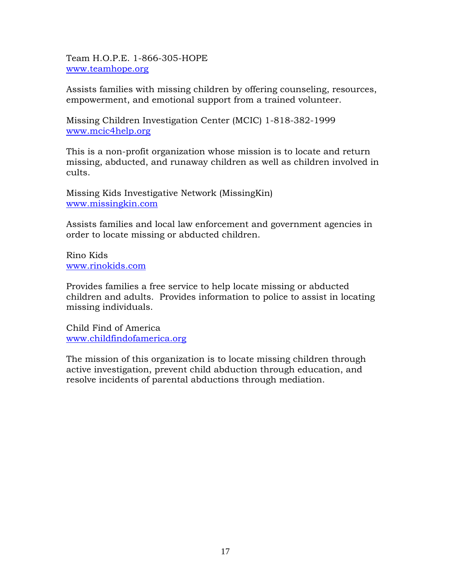Team H.O.P.E. 1-866-305-HOPE [www.teamhope.org](http://www.teamhope.org/)

Assists families with missing children by offering counseling, resources, empowerment, and emotional support from a trained volunteer.

Missing Children Investigation Center (MCIC) 1-818-382-1999 [www.mcic4help.org](http://www.mcic4help.org/)

This is a non-profit organization whose mission is to locate and return missing, abducted, and runaway children as well as children involved in cults.

Missing Kids Investigative Network (MissingKin) [www.missingkin.com](http://www.missingkin.com/)

Assists families and local law enforcement and government agencies in order to locate missing or abducted children.

Rino Kids [www.rinokids.com](http://www.rinokids.com/)

Provides families a free service to help locate missing or abducted children and adults. Provides information to police to assist in locating missing individuals.

Child Find of America [www.childfindofamerica.org](http://www.childfindofamerica.org/)

The mission of this organization is to locate missing children through active investigation, prevent child abduction through education, and resolve incidents of parental abductions through mediation.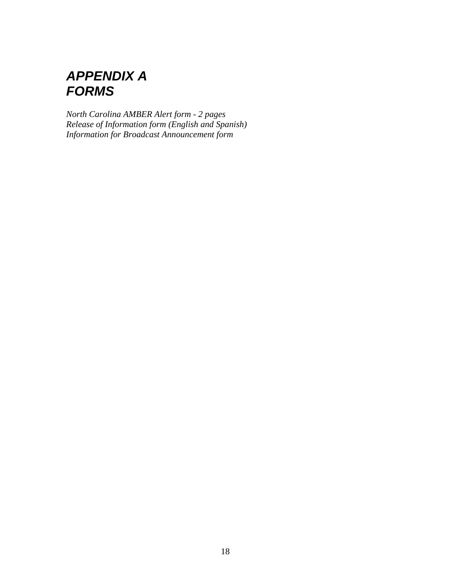# *APPENDIX A FORMS*

*North Carolina AMBER Alert form - 2 pages Release of Information form (English and Spanish) Information for Broadcast Announcement form*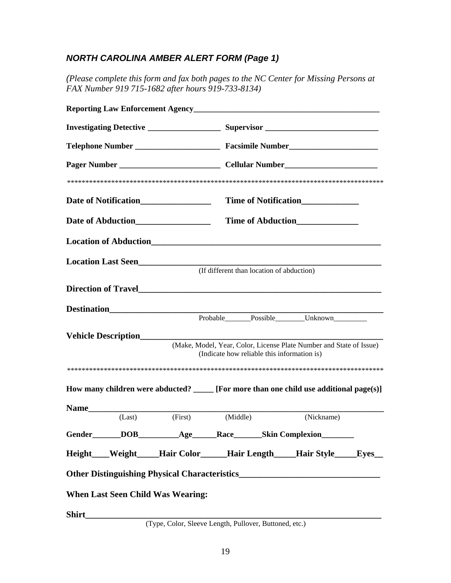## *NORTH CAROLINA AMBER ALERT FORM (Page 1)*

*(Please complete this form and fax both pages to the NC Center for Missing Persons at FAX Number 919 715-1682 after hours 919-733-8134)* 

|             |                            |                                                                     |                                             | Time of Notification_______________                                                      |  |
|-------------|----------------------------|---------------------------------------------------------------------|---------------------------------------------|------------------------------------------------------------------------------------------|--|
|             |                            |                                                                     |                                             | Time of Abduction<br><u>Figures</u>                                                      |  |
|             |                            |                                                                     |                                             |                                                                                          |  |
|             |                            | Location Last Seen________________                                  | (If different than location of abduction)   |                                                                                          |  |
|             |                            |                                                                     |                                             |                                                                                          |  |
|             |                            |                                                                     |                                             | Probable Possible Unknown                                                                |  |
|             | <b>Vehicle Description</b> |                                                                     | (Indicate how reliable this information is) | (Make, Model, Year, Color, License Plate Number and State of Issue)                      |  |
|             |                            |                                                                     |                                             |                                                                                          |  |
|             |                            |                                                                     |                                             | How many children were abducted? ______ [For more than one child use additional page(s)] |  |
| <b>Name</b> |                            |                                                                     |                                             |                                                                                          |  |
|             | (Last)                     | (First)                                                             | (Middle)                                    | (Nickname)                                                                               |  |
|             |                            | Gender______DOB___________Age_______Race_______Skin Complexion_____ |                                             |                                                                                          |  |
|             |                            |                                                                     |                                             | Height___Weight____Hair Color_____Hair Length____Hair Style____Eyes__                    |  |
|             |                            |                                                                     |                                             |                                                                                          |  |
|             |                            | <b>When Last Seen Child Was Wearing:</b>                            |                                             |                                                                                          |  |
|             |                            |                                                                     |                                             |                                                                                          |  |
|             |                            | (Type, Color, Sleeve Length, Pullover, Buttoned, etc.)              |                                             |                                                                                          |  |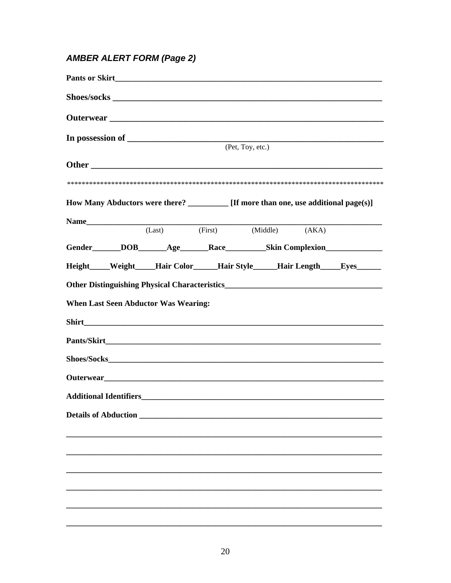## **AMBER ALERT FORM (Page 2)**

|                             |                                                                                                  | (Pet, Toy, etc.) |  |
|-----------------------------|--------------------------------------------------------------------------------------------------|------------------|--|
|                             |                                                                                                  |                  |  |
|                             |                                                                                                  |                  |  |
|                             | How Many Abductors were there? [If more than one, use additional page(s)]                        |                  |  |
|                             | Name (Last) (First) (Middle) (AKA)                                                               |                  |  |
|                             | Gender______DOB______Age______Race__________Skin Complexion_____________________                 |                  |  |
|                             | Height____Weight____Hair Color_____Hair Style____Hair Length____Eyes_____                        |                  |  |
|                             | Other Distinguishing Physical Characteristics <b>Exercísics Exercísics Exercísics Exercísics</b> |                  |  |
|                             | <b>When Last Seen Abductor Was Wearing:</b>                                                      |                  |  |
|                             |                                                                                                  |                  |  |
|                             |                                                                                                  |                  |  |
|                             |                                                                                                  |                  |  |
|                             |                                                                                                  |                  |  |
|                             |                                                                                                  |                  |  |
| <b>Details of Abduction</b> |                                                                                                  |                  |  |
|                             |                                                                                                  |                  |  |
|                             |                                                                                                  |                  |  |
|                             |                                                                                                  |                  |  |
|                             |                                                                                                  |                  |  |
|                             |                                                                                                  |                  |  |
|                             |                                                                                                  |                  |  |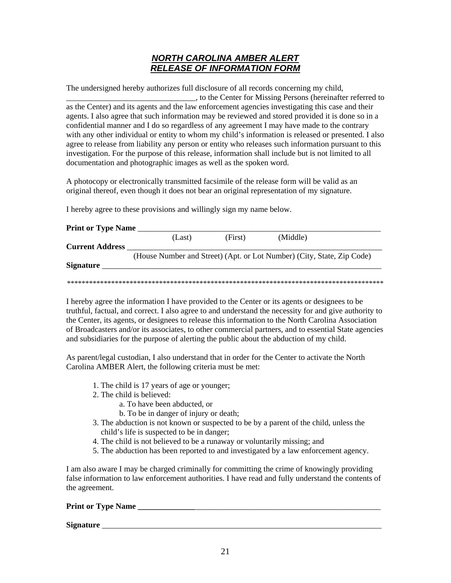#### *NORTH CAROLINA AMBER ALERT RELEASE OF INFORMATION FORM*

The undersigned hereby authorizes full disclosure of all records concerning my child,

\_\_\_\_\_\_\_\_\_\_\_\_\_\_\_\_\_\_\_\_\_\_\_\_\_\_\_\_\_\_\_\_, to the Center for Missing Persons (hereinafter referred to as the Center) and its agents and the law enforcement agencies investigating this case and their agents. I also agree that such information may be reviewed and stored provided it is done so in a confidential manner and I do so regardless of any agreement I may have made to the contrary with any other individual or entity to whom my child's information is released or presented. I also agree to release from liability any person or entity who releases such information pursuant to this investigation. For the purpose of this release, information shall include but is not limited to all documentation and photographic images as well as the spoken word.

A photocopy or electronically transmitted facsimile of the release form will be valid as an original thereof, even though it does not bear an original representation of my signature.

I hereby agree to these provisions and willingly sign my name below.

| <b>Current Address</b> |  |                                                                        |  |
|------------------------|--|------------------------------------------------------------------------|--|
|                        |  |                                                                        |  |
|                        |  | (House Number and Street) (Apt. or Lot Number) (City, State, Zip Code) |  |
| <b>Signature</b>       |  |                                                                        |  |

I hereby agree the information I have provided to the Center or its agents or designees to be truthful, factual, and correct. I also agree to and understand the necessity for and give authority to the Center, its agents, or designees to release this information to the North Carolina Association of Broadcasters and/or its associates, to other commercial partners, and to essential State agencies and subsidiaries for the purpose of alerting the public about the abduction of my child.

As parent/legal custodian, I also understand that in order for the Center to activate the North Carolina AMBER Alert, the following criteria must be met:

- 1. The child is 17 years of age or younger;
- 2. The child is believed:
	- a. To have been abducted, or
	- b. To be in danger of injury or death;
- 3. The abduction is not known or suspected to be by a parent of the child, unless the child's life is suspected to be in danger;
- 4. The child is not believed to be a runaway or voluntarily missing; and
- 5. The abduction has been reported to and investigated by a law enforcement agency.

I am also aware I may be charged criminally for committing the crime of knowingly providing false information to law enforcement authorities. I have read and fully understand the contents of the agreement.

#### **Print or Type Name**

#### **Signature**  $\blacksquare$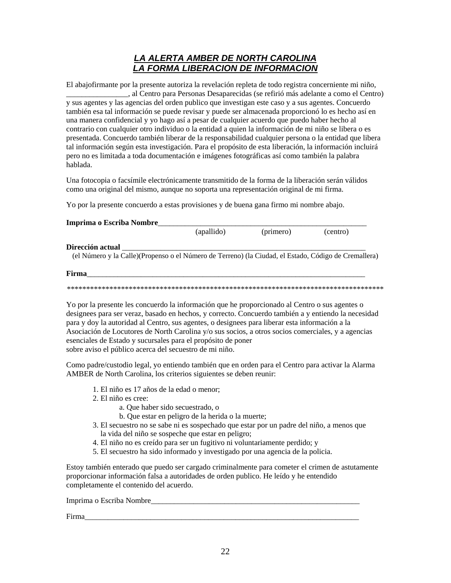#### *LA ALERTA AMBER DE NORTH CAROLINA LA FORMA LIBERACION DE INFORMACION*

El abajofirmante por la presente autoriza la revelación repleta de todo registra concerniente mi niño, \_\_\_\_\_\_\_\_\_\_\_\_\_\_\_\_, al Centro para Personas Desaparecidas (se refirió más adelante a como el Centro) y sus agentes y las agencias del orden publico que investigan este caso y a sus agentes. Concuerdo también esa tal información se puede revisar y puede ser almacenada proporcionó lo es hecho así en una manera confidencial y yo hago así a pesar de cualquier acuerdo que puedo haber hecho al contrario con cualquier otro individuo o la entidad a quien la información de mi niño se libera o es presentada. Concuerdo también liberar de la responsabilidad cualquier persona o la entidad que libera tal información según esta investigación. Para el propósito de esta liberación, la información incluirá pero no es limitada a toda documentación e imágenes fotográficas así como también la palabra hablada.

Una fotocopia o facsímile electrónicamente transmitido de la forma de la liberación serán válidos como una original del mismo, aunque no soporta una representación original de mi firma.

Yo por la presente concuerdo a estas provisiones y de buena gana firmo mi nombre abajo.

| Imprima o Escriba Nombre                                                                                                  |            |           |          |
|---------------------------------------------------------------------------------------------------------------------------|------------|-----------|----------|
|                                                                                                                           | (apallido) | (primero) | (centro) |
| Dirección actual<br>(el Número y la Calle) (Propenso o el Número de Terreno) (la Ciudad, el Estado, Código de Cremallera) |            |           |          |
| Firma                                                                                                                     |            |           |          |
|                                                                                                                           |            |           |          |

Yo por la presente les concuerdo la información que he proporcionado al Centro o sus agentes o designees para ser veraz, basado en hechos, y correcto. Concuerdo también a y entiendo la necesidad para y doy la autoridad al Centro, sus agentes, o designees para liberar esta información a la Asociación de Locutores de North Carolina y/o sus socios, a otros socios comerciales, y a agencias esenciales de Estado y sucursales para el propósito de poner sobre aviso el público acerca del secuestro de mi niño.

Como padre/custodio legal, yo entiendo también que en orden para el Centro para activar la Alarma AMBER de North Carolina, los criterios siguientes se deben reunir:

- 1. El niño es 17 años de la edad o menor;
- 2. El niño es cree:
	- a. Que haber sido secuestrado, o
	- b. Que estar en peligro de la herida o la muerte;
- 3. El secuestro no se sabe ni es sospechado que estar por un padre del niño, a menos que la vida del niño se sospeche que estar en peligro;
- 4. El niño no es creído para ser un fugitivo ni voluntariamente perdido; y
- 5. El secuestro ha sido informado y investigado por una agencia de la policia.

Estoy también enterado que puedo ser cargado criminalmente para cometer el crimen de astutamente proporcionar información falsa a autoridades de orden publico. He leído y he entendido completamente el contenido del acuerdo.

Imprima o Escriba Nombre

Firma\_\_\_\_\_\_\_\_\_\_\_\_\_\_\_\_\_\_\_\_\_\_\_\_\_\_\_\_\_\_\_\_\_\_\_\_\_\_\_\_\_\_\_\_\_\_\_\_\_\_\_\_\_\_\_\_\_\_\_\_\_\_\_\_\_\_\_\_\_\_\_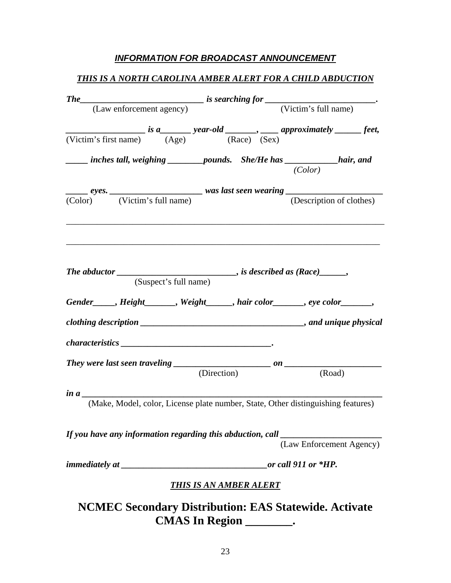#### *INFORMATION FOR BROADCAST ANNOUNCEMENT*

# *THIS IS A NORTH CAROLINA AMBER ALERT FOR A CHILD ABDUCTION*

|                                                                                                                                                                                                                                                                                                                                                                                                                                                                                                                                                                                                      |                       |                               |  | _____ inches tall, weighing _________ pounds. She/He has _____________hair, and<br>(Color)                                                                                                                                    |  |
|------------------------------------------------------------------------------------------------------------------------------------------------------------------------------------------------------------------------------------------------------------------------------------------------------------------------------------------------------------------------------------------------------------------------------------------------------------------------------------------------------------------------------------------------------------------------------------------------------|-----------------------|-------------------------------|--|-------------------------------------------------------------------------------------------------------------------------------------------------------------------------------------------------------------------------------|--|
|                                                                                                                                                                                                                                                                                                                                                                                                                                                                                                                                                                                                      |                       |                               |  | ${eyes.}\n\over{\text{(Color)}}$ (Victim's full name)<br>was last seen wearing (Description of clothering)<br>(Description of clothes)                                                                                        |  |
|                                                                                                                                                                                                                                                                                                                                                                                                                                                                                                                                                                                                      | (Suspect's full name) |                               |  | The abductor _______________________________, is described as (Race)______,                                                                                                                                                   |  |
|                                                                                                                                                                                                                                                                                                                                                                                                                                                                                                                                                                                                      |                       |                               |  | Gender ight Gender Sender Sender Sender Sender Sender Sender Sender Sender Sender Sender Sender Sender Sender Sender Sender Sender Sender Sender Sender Sender Sender Sender Sender Sender Sender Sender Sender Sender Sender |  |
|                                                                                                                                                                                                                                                                                                                                                                                                                                                                                                                                                                                                      |                       |                               |  |                                                                                                                                                                                                                               |  |
| $\label{eq:characteristics} characteristics \begin{tabular}{c} \multicolumn{3}{c}{\textbf{Characteristics}} \end{tabular} \begin{tabular}{c} \includegraphics{2}{\textbf{if}} \end{tabular} \begin{tabular}{c} \includegraphics{2}{\textbf{if}} \end{tabular} \begin{tabular}{c} \includegraphics{2}{\textbf{if}} \end{tabular} \begin{tabular}{c} \includegraphics{2}{\textbf{if}} \end{tabular} \begin{tabular}{c} \includegraphics{2}{\textbf{if}} \end{tabular} \end{tabular} \begin{tabular}{c} \includegraphics{2}{\textbf{if}} \end{tabular} \begin{tabular}{c} \includegraphics{2}{\textbf{$ |                       |                               |  |                                                                                                                                                                                                                               |  |
|                                                                                                                                                                                                                                                                                                                                                                                                                                                                                                                                                                                                      |                       |                               |  |                                                                                                                                                                                                                               |  |
|                                                                                                                                                                                                                                                                                                                                                                                                                                                                                                                                                                                                      |                       | (Direction)                   |  | (Road)                                                                                                                                                                                                                        |  |
| in a $\frac{a}{a}$                                                                                                                                                                                                                                                                                                                                                                                                                                                                                                                                                                                   |                       |                               |  | (Make, Model, color, License plate number, State, Other distinguishing features)                                                                                                                                              |  |
| If you have any information regarding this abduction, call                                                                                                                                                                                                                                                                                                                                                                                                                                                                                                                                           |                       |                               |  | (Law Enforcement Agency)                                                                                                                                                                                                      |  |
|                                                                                                                                                                                                                                                                                                                                                                                                                                                                                                                                                                                                      |                       |                               |  | or call 911 or *HP.                                                                                                                                                                                                           |  |
|                                                                                                                                                                                                                                                                                                                                                                                                                                                                                                                                                                                                      |                       | <b>THIS IS AN AMBER ALERT</b> |  |                                                                                                                                                                                                                               |  |
|                                                                                                                                                                                                                                                                                                                                                                                                                                                                                                                                                                                                      |                       | CMAS In Region _________.     |  | <b>NCMEC Secondary Distribution: EAS Statewide. Activate</b>                                                                                                                                                                  |  |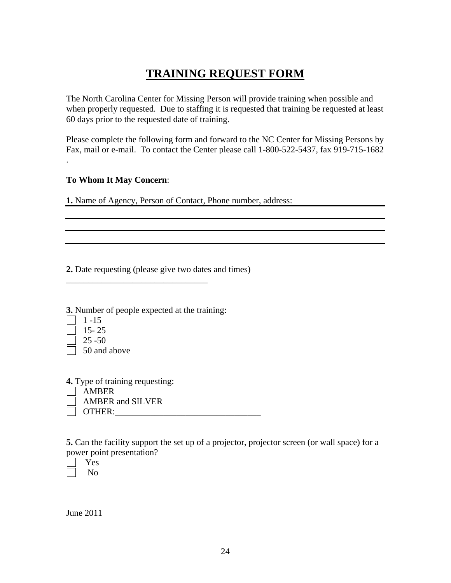# **TRAINING REQUEST FORM**

The North Carolina Center for Missing Person will provide training when possible and when properly requested. Due to staffing it is requested that training be requested at least 60 days prior to the requested date of training.

Please complete the following form and forward to the NC Center for Missing Persons by Fax, mail or e-mail. To contact the Center please call 1-800-522-5437, fax 919-715-1682

#### **To Whom It May Concern**:

**1.** Name of Agency, Person of Contact, Phone number, address:

**2.** Date requesting (please give two dates and times)

**3.** Number of people expected at the training:

\_\_\_\_\_\_\_\_\_\_\_\_\_\_\_\_\_\_\_\_\_\_\_\_\_\_\_\_\_\_\_\_

 $\Box$  1 -15

.

- 15- 25
- 25 -50

50 and above

**4.** Type of training requesting:

 AMBER AMBER and SILVER

OTHER:

**5.** Can the facility support the set up of a projector, projector screen (or wall space) for a power point presentation?

 Yes No

June 2011